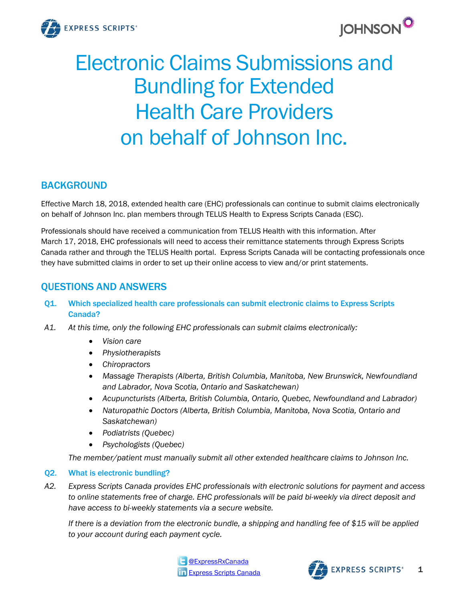



# Electronic Claims Submissions and Bundling for Extended Health Care Providers on behalf of Johnson Inc.

## BACKGROUND

Effective March 18, 2018, extended health care (EHC) professionals can continue to submit claims electronically on behalf of Johnson Inc. plan members through TELUS Health to Express Scripts Canada (ESC).

Professionals should have received a communication from TELUS Health with this information. After March 17, 2018, EHC professionals will need to access their remittance statements through Express Scripts Canada rather and through the TELUS Health portal. Express Scripts Canada will be contacting professionals once they have submitted claims in order to set up their online access to view and/or print statements.

# QUESTIONS AND ANSWERS

- Q1. Which specialized health care professionals can submit electronic claims to Express Scripts Canada?
- *A1. At this time, only the following EHC professionals can submit claims electronically:*
	- *Vision care*
	- *Physiotherapists*
	- *Chiropractors*
	- *Massage Therapists (Alberta, British Columbia, Manitoba, New Brunswick, Newfoundland and Labrador, Nova Scotia, Ontario and Saskatchewan)*
	- *Acupuncturists (Alberta, British Columbia, Ontario, Quebec, Newfoundland and Labrador)*
	- *Naturopathic Doctors (Alberta, British Columbia, Manitoba, Nova Scotia, Ontario and Saskatchewan)*
	- *Podiatrists (Quebec)*
	- *Psychologists (Quebec)*

*The member/patient must manually submit all other extended healthcare claims to Johnson Inc.*

## Q2. What is electronic bundling?

*A2. Express Scripts Canada provides EHC professionals with electronic solutions for payment and access to online statements free of charge. EHC professionals will be paid bi-weekly via direct deposit and have access to bi-weekly statements via a secure website.*

*If there is a deviation from the electronic bundle, a shipping and handling fee of \$15 will be applied to your account during each payment cycle.*



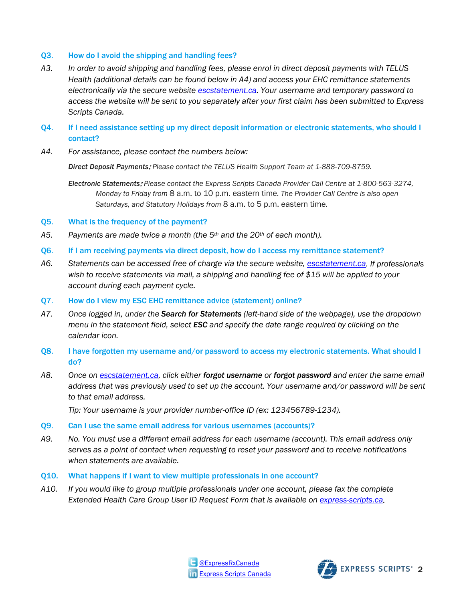#### Q3. How do I avoid the shipping and handling fees?

- *A3. In order to avoid shipping and handling fees, please enrol in direct deposit payments with TELUS Health (additional details can be found below in A4) and access your EHC remittance statements electronically via the secure website [escstatement.ca.](file://canada.root.corp/storage/TOR/Quality%20System%20Documentation/4%20-%20Controlled%20Forms%20&%20Documents/Marketing/Report%20Cover%20Sheet/English/No%20Cover/escstatement.ca) Your username and temporary password to access the website will be sent to you separately after your first claim has been submitted to Express Scripts Canada.*
- Q4. If I need assistance setting up my direct deposit information or electronic statements, who should I contact?
- *A4. For assistance, please contact the numbers below:*

*Direct Deposit Payments*: *Please contact the TELUS Health Support Team at 1-888-709-8759.*

- *Electronic Statements*: *Please contact the Express Scripts Canada Provider Call Centre at 1-800-563-3274, Monday to Friday from* 8 a.m. to 10 p.m. eastern time*. The Provider Call Centre is also open Saturdays, and Statutory Holidays from* 8 a.m. to 5 p.m. eastern time*.*
- Q5. What is the frequency of the payment?
- *A5. Payments are made twice a month (the 5th and the 20th of each month).*
- Q6. If I am receiving payments via direct deposit, how do I access my remittance statement?
- *A6. Statements can be accessed free of charge via the secure website, [escstatement.ca.](http://www.escstatement.ca/) If professionals wish to receive statements via mail, a shipping and handling fee of \$15 will be applied to your account during each payment cycle.*
- Q7. How do I view my ESC EHC remittance advice (statement) online?
- *A7. Once logged in, under the Search for Statements (left-hand side of the webpage), use the dropdown menu in the statement field, select ESC and specify the date range required by clicking on the calendar icon.*
- Q8. I have forgotten my username and/or password to access my electronic statements. What should I do?
- *A8. Once on [escstatement.ca,](http://www.escstatement.ca/) click either forgot username or forgot password and enter the same email address that was previously used to set up the account. Your username and/or password will be sent to that email address.*

*Tip: Your username is your provider number-office ID (ex: 123456789-1234).*

- Q9. Can I use the same email address for various usernames (accounts)?
- *A9. No. You must use a different email address for each username (account). This email address only serves as a point of contact when requesting to reset your password and to receive notifications when statements are available.*
- Q10. What happens if I want to view multiple professionals in one account?
- *A10. If you would like to group multiple professionals under one account, please fax the complete Extended Health Care Group User ID Request Form that is available on [express-scripts.ca.](http://www.express-scripts.ca/)*